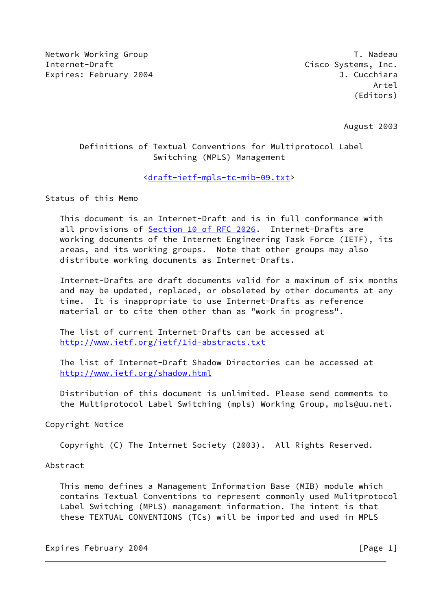Network Working Group T. Nadeau Network Alexander Management of the U.S. of the U.S. of the U.S. of the U.S. o Internet-Draft Cisco Systems, Inc. Expires: February 2004 **J. Cucchiara** 

August 2003

# Definitions of Textual Conventions for Multiprotocol Label Switching (MPLS) Management

## [<draft-ietf-mpls-tc-mib-09.txt>](https://datatracker.ietf.org/doc/pdf/draft-ietf-mpls-tc-mib-09.txt)

Status of this Memo

 This document is an Internet-Draft and is in full conformance with all provisions of Section [10 of RFC 2026](https://datatracker.ietf.org/doc/pdf/rfc2026#section-10). Internet-Drafts are working documents of the Internet Engineering Task Force (IETF), its areas, and its working groups. Note that other groups may also distribute working documents as Internet-Drafts.

 Internet-Drafts are draft documents valid for a maximum of six months and may be updated, replaced, or obsoleted by other documents at any time. It is inappropriate to use Internet-Drafts as reference material or to cite them other than as "work in progress".

 The list of current Internet-Drafts can be accessed at <http://www.ietf.org/ietf/1id-abstracts.txt>

 The list of Internet-Draft Shadow Directories can be accessed at <http://www.ietf.org/shadow.html>

 Distribution of this document is unlimited. Please send comments to the Multiprotocol Label Switching (mpls) Working Group, mpls@uu.net.

### Copyright Notice

Copyright (C) The Internet Society (2003). All Rights Reserved.

### Abstract

 This memo defines a Management Information Base (MIB) module which contains Textual Conventions to represent commonly used Mulitprotocol Label Switching (MPLS) management information. The intent is that these TEXTUAL CONVENTIONS (TCs) will be imported and used in MPLS

Expires February 2004 **by Expires** February 2004 **[Page 1]**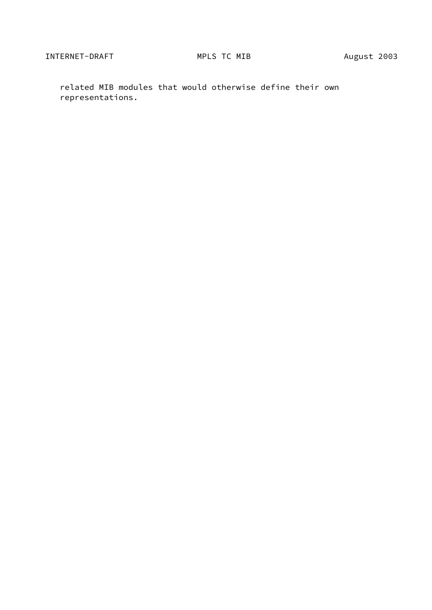related MIB modules that would otherwise define their own representations.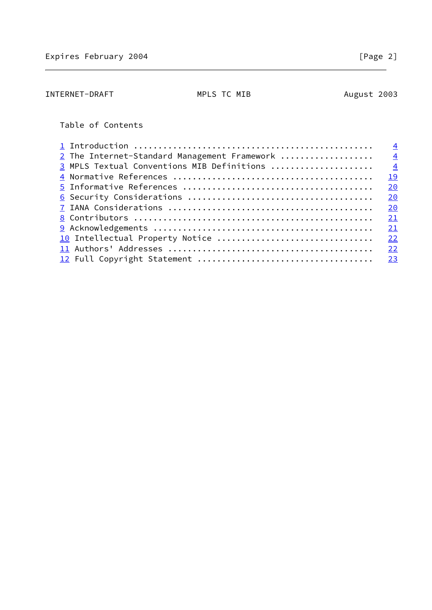| INTERNET-DRAFT | MPLS TC MIB | August 2003 |
|----------------|-------------|-------------|
|                |             |             |

# Table of Contents

|                                              | $\overline{4}$ |
|----------------------------------------------|----------------|
| 2 The Internet-Standard Management Framework | $\overline{4}$ |
| 3 MPLS Textual Conventions MIB Definitions   | $\overline{4}$ |
|                                              | 19             |
|                                              | 20             |
|                                              | 20             |
|                                              | 20             |
|                                              | 21             |
|                                              | 21             |
| 10 Intellectual Property Notice              | 22             |
|                                              | 22             |
|                                              | 23             |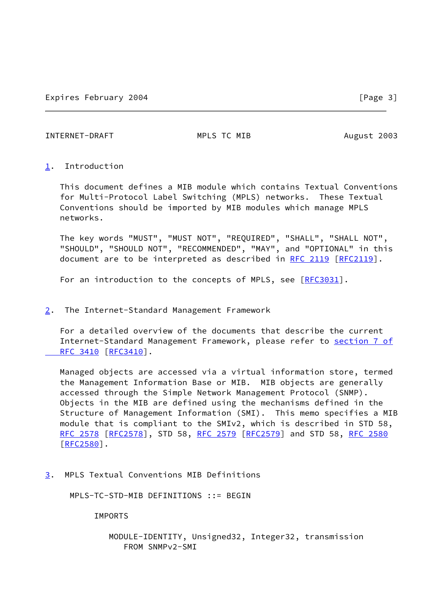<span id="page-3-1"></span>INTERNET-DRAFT MPLS TC MIB August 2003

### <span id="page-3-0"></span>[1](#page-3-0). Introduction

 This document defines a MIB module which contains Textual Conventions for Multi-Protocol Label Switching (MPLS) networks. These Textual Conventions should be imported by MIB modules which manage MPLS networks.

 The key words "MUST", "MUST NOT", "REQUIRED", "SHALL", "SHALL NOT", "SHOULD", "SHOULD NOT", "RECOMMENDED", "MAY", and "OPTIONAL" in this document are to be interpreted as described in [RFC 2119 \[RFC2119](https://datatracker.ietf.org/doc/pdf/rfc2119)].

For an introduction to the concepts of MPLS, see [\[RFC3031](https://datatracker.ietf.org/doc/pdf/rfc3031)].

### <span id="page-3-2"></span>[2](#page-3-2). The Internet-Standard Management Framework

 For a detailed overview of the documents that describe the current Internet-Standard Management Framework, please refer to [section](https://datatracker.ietf.org/doc/pdf/rfc3410#section-7) 7 of RFC 3410 [\[RFC3410](https://datatracker.ietf.org/doc/pdf/rfc3410)].

 Managed objects are accessed via a virtual information store, termed the Management Information Base or MIB. MIB objects are generally accessed through the Simple Network Management Protocol (SNMP). Objects in the MIB are defined using the mechanisms defined in the Structure of Management Information (SMI). This memo specifies a MIB module that is compliant to the SMIv2, which is described in STD 58, [RFC 2578](https://datatracker.ietf.org/doc/pdf/rfc2578) [\[RFC2578](https://datatracker.ietf.org/doc/pdf/rfc2578)], STD 58, [RFC 2579 \[RFC2579](https://datatracker.ietf.org/doc/pdf/rfc2579)] and STD 58, [RFC 2580](https://datatracker.ietf.org/doc/pdf/rfc2580) [\[RFC2580](https://datatracker.ietf.org/doc/pdf/rfc2580)].

<span id="page-3-3"></span>[3](#page-3-3). MPLS Textual Conventions MIB Definitions

MPLS-TC-STD-MIB DEFINITIONS ::= BEGIN

### IMPORTS

## MODULE-IDENTITY, Unsigned32, Integer32, transmission FROM SNMPv2-SMI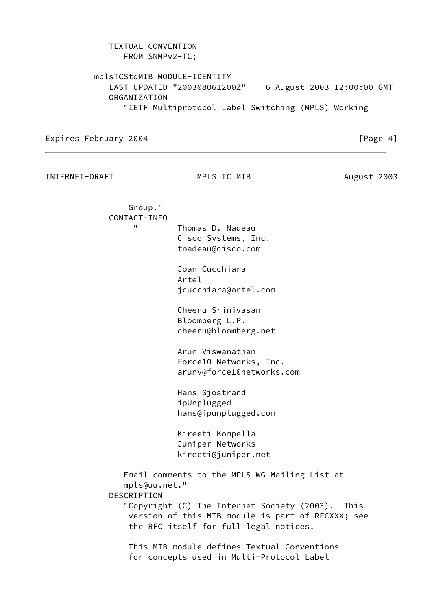| FROM SNMPv2-TC;                                                            |  |
|----------------------------------------------------------------------------|--|
| mplsTCStdMIB MODULE-IDENTITY                                               |  |
| LAST-UPDATED "200308061200Z" -- 6 August 2003 12:00:00 GMT<br>ORGANIZATION |  |
| "IETF Multiprotocol Label Switching (MPLS) Working                         |  |
|                                                                            |  |

INTERNET-DRAFT MPLS TC MIB August 2003

 Group." CONTACT-INFO " Thomas D. Nadeau Cisco Systems, Inc.

TEXTUAL-CONVENTION

 tnadeau@cisco.com Joan Cucchiara Artel

jcucchiara@artel.com

 Cheenu Srinivasan Bloomberg L.P. cheenu@bloomberg.net

 Arun Viswanathan Force10 Networks, Inc. arunv@force10networks.com

 Hans Sjostrand ipUnplugged hans@ipunplugged.com

 Kireeti Kompella Juniper Networks kireeti@juniper.net

 Email comments to the MPLS WG Mailing List at mpls@uu.net." DESCRIPTION "Copyright (C) The Internet Society (2003). This version of this MIB module is part of RFCXXX; see the RFC itself for full legal notices.

 This MIB module defines Textual Conventions for concepts used in Multi-Protocol Label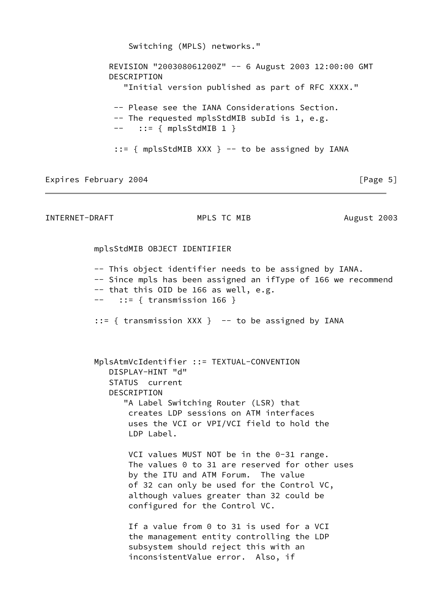Switching (MPLS) networks." REVISION "200308061200Z" -- 6 August 2003 12:00:00 GMT DESCRIPTION "Initial version published as part of RFC XXXX." -- Please see the IANA Considerations Section. -- The requested mplsStdMIB subId is 1, e.g.  $---$  ::= { mplsStdMIB 1 }  $::=$  { mplsStdMIB XXX } -- to be assigned by IANA

Expires February 2004 **by Expires** February 2004 **[Page 5]** 

INTERNET-DRAFT MPLS TC MIB August 2003

mplsStdMIB OBJECT IDENTIFIER

-- This object identifier needs to be assigned by IANA.

- -- Since mpls has been assigned an ifType of 166 we recommend
- -- that this OID be 166 as well, e.g.
- $--$  ::= { transmission 166 }

::= { transmission XXX } -- to be assigned by IANA

 MplsAtmVcIdentifier ::= TEXTUAL-CONVENTION DISPLAY-HINT "d" STATUS current DESCRIPTION "A Label Switching Router (LSR) that creates LDP sessions on ATM interfaces uses the VCI or VPI/VCI field to hold the LDP Label.

> VCI values MUST NOT be in the 0-31 range. The values 0 to 31 are reserved for other uses by the ITU and ATM Forum. The value of 32 can only be used for the Control VC, although values greater than 32 could be configured for the Control VC.

 If a value from 0 to 31 is used for a VCI the management entity controlling the LDP subsystem should reject this with an inconsistentValue error. Also, if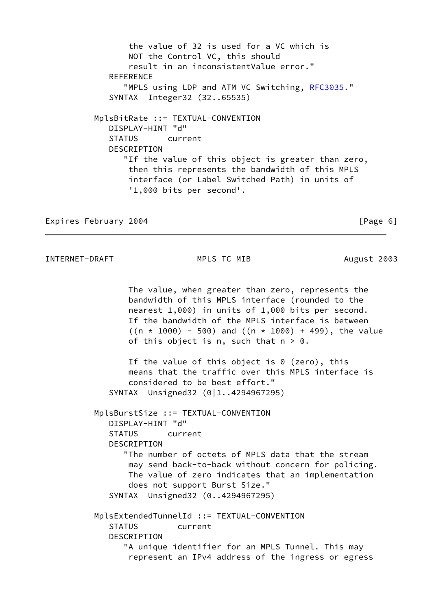the value of 32 is used for a VC which is NOT the Control VC, this should result in an inconsistentValue error." **REFERENCE** "MPLS using LDP and ATM VC Switching, [RFC3035](https://datatracker.ietf.org/doc/pdf/rfc3035)." SYNTAX Integer32 (32..65535) MplsBitRate ::= TEXTUAL-CONVENTION DISPLAY-HINT "d" STATUS current **DESCRIPTION**  "If the value of this object is greater than zero, then this represents the bandwidth of this MPLS interface (or Label Switched Path) in units of '1,000 bits per second'.

Expires February 2004 **[Page 6]** [Page 6]

```
INTERNET-DRAFT MPLS TC MIB August 2003
```
 The value, when greater than zero, represents the bandwidth of this MPLS interface (rounded to the nearest 1,000) in units of 1,000 bits per second. If the bandwidth of the MPLS interface is between  $((n * 1000) - 500)$  and  $((n * 1000) + 499)$ , the value of this object is n, such that  $n > 0$ .

 If the value of this object is 0 (zero), this means that the traffic over this MPLS interface is considered to be best effort." SYNTAX Unsigned32 (0|1..4294967295)

 MplsBurstSize ::= TEXTUAL-CONVENTION DISPLAY-HINT "d" STATUS current DESCRIPTION "The number of octets of MPLS data that the stream may send back-to-back without concern for policing. The value of zero indicates that an implementation does not support Burst Size." SYNTAX Unsigned32 (0..4294967295) MplsExtendedTunnelId ::= TEXTUAL-CONVENTION STATUS current DESCRIPTION

 "A unique identifier for an MPLS Tunnel. This may represent an IPv4 address of the ingress or egress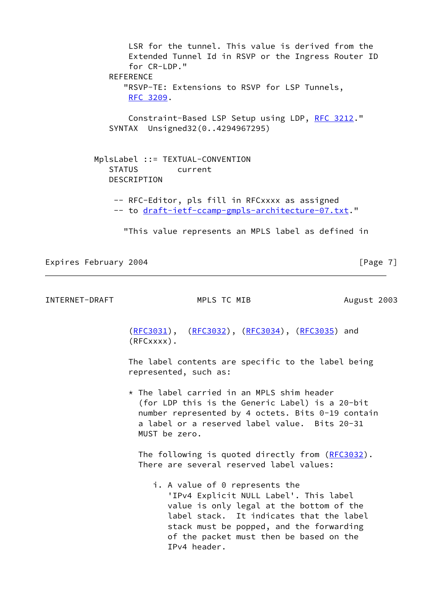LSR for the tunnel. This value is derived from the Extended Tunnel Id in RSVP or the Ingress Router ID for CR-LDP." **REFERENCE**  "RSVP-TE: Extensions to RSVP for LSP Tunnels, [RFC 3209](https://datatracker.ietf.org/doc/pdf/rfc3209). Constraint-Based LSP Setup using LDP, [RFC 3212.](https://datatracker.ietf.org/doc/pdf/rfc3212)" SYNTAX Unsigned32(0..4294967295) MplsLabel ::= TEXTUAL-CONVENTION STATUS current DESCRIPTION -- RFC-Editor, pls fill in RFCxxxx as assigned -- to [draft-ietf-ccamp-gmpls-architecture-07.txt.](https://datatracker.ietf.org/doc/pdf/draft-ietf-ccamp-gmpls-architecture-07.txt)" "This value represents an MPLS label as defined in

Expires February 2004 **Expires** February 2004

INTERNET-DRAFT MPLS TC MIB August 2003

([RFC3031](https://datatracker.ietf.org/doc/pdf/rfc3031)), ([RFC3032](https://datatracker.ietf.org/doc/pdf/rfc3032)), [\(RFC3034](https://datatracker.ietf.org/doc/pdf/rfc3034)), [\(RFC3035](https://datatracker.ietf.org/doc/pdf/rfc3035)) and (RFCxxxx).

 The label contents are specific to the label being represented, such as:

 \* The label carried in an MPLS shim header (for LDP this is the Generic Label) is a 20-bit number represented by 4 octets. Bits 0-19 contain a label or a reserved label value. Bits 20-31 MUST be zero.

The following is quoted directly from ([RFC3032](https://datatracker.ietf.org/doc/pdf/rfc3032)). There are several reserved label values:

 i. A value of 0 represents the 'IPv4 Explicit NULL Label'. This label value is only legal at the bottom of the label stack. It indicates that the label stack must be popped, and the forwarding of the packet must then be based on the IPv4 header.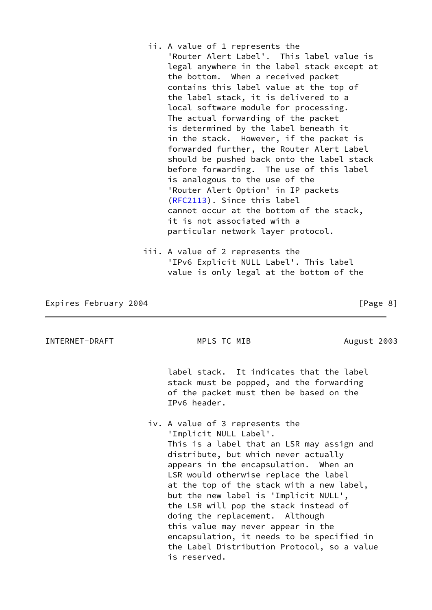- ii. A value of 1 represents the 'Router Alert Label'. This label value is legal anywhere in the label stack except at the bottom. When a received packet contains this label value at the top of the label stack, it is delivered to a local software module for processing. The actual forwarding of the packet is determined by the label beneath it in the stack. However, if the packet is forwarded further, the Router Alert Label should be pushed back onto the label stack before forwarding. The use of this label is analogous to the use of the 'Router Alert Option' in IP packets ([RFC2113](https://datatracker.ietf.org/doc/pdf/rfc2113)). Since this label cannot occur at the bottom of the stack, it is not associated with a particular network layer protocol.
- iii. A value of 2 represents the 'IPv6 Explicit NULL Label'. This label value is only legal at the bottom of the

INTERNET-DRAFT MPLS TC MIB August 2003

 label stack. It indicates that the label stack must be popped, and the forwarding of the packet must then be based on the IPv6 header.

 iv. A value of 3 represents the 'Implicit NULL Label'. This is a label that an LSR may assign and distribute, but which never actually appears in the encapsulation. When an LSR would otherwise replace the label at the top of the stack with a new label, but the new label is 'Implicit NULL', the LSR will pop the stack instead of doing the replacement. Although this value may never appear in the encapsulation, it needs to be specified in the Label Distribution Protocol, so a value is reserved.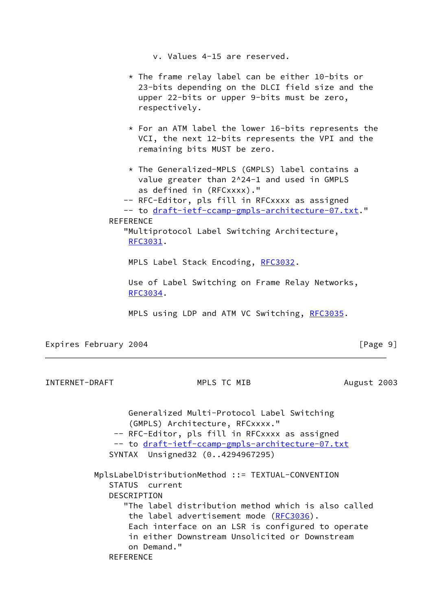v. Values 4-15 are reserved.

- $*$  The frame relay label can be either 10-bits or 23-bits depending on the DLCI field size and the upper 22-bits or upper 9-bits must be zero, respectively.
- \* For an ATM label the lower 16-bits represents the VCI, the next 12-bits represents the VPI and the remaining bits MUST be zero.
- \* The Generalized-MPLS (GMPLS) label contains a value greater than 2^24-1 and used in GMPLS as defined in (RFCxxxx)."
- -- RFC-Editor, pls fill in RFCxxxx as assigned
- -- to [draft-ietf-ccamp-gmpls-architecture-07.txt.](https://datatracker.ietf.org/doc/pdf/draft-ietf-ccamp-gmpls-architecture-07.txt)"

## REFERENCE

 "Multiprotocol Label Switching Architecture, [RFC3031](https://datatracker.ietf.org/doc/pdf/rfc3031).

MPLS Label Stack Encoding, [RFC3032](https://datatracker.ietf.org/doc/pdf/rfc3032).

 Use of Label Switching on Frame Relay Networks, [RFC3034](https://datatracker.ietf.org/doc/pdf/rfc3034).

MPLS using LDP and ATM VC Switching, [RFC3035](https://datatracker.ietf.org/doc/pdf/rfc3035).

Expires February 2004 **Expires** February 2004

INTERNET-DRAFT MPLS TC MIB August 2003

 Generalized Multi-Protocol Label Switching (GMPLS) Architecture, RFCxxxx." -- RFC-Editor, pls fill in RFCxxxx as assigned -- to [draft-ietf-ccamp-gmpls-architecture-07.txt](https://datatracker.ietf.org/doc/pdf/draft-ietf-ccamp-gmpls-architecture-07.txt) SYNTAX Unsigned32 (0..4294967295) MplsLabelDistributionMethod ::= TEXTUAL-CONVENTION STATUS current DESCRIPTION "The label distribution method which is also called the label advertisement mode ([RFC3036\)](https://datatracker.ietf.org/doc/pdf/rfc3036). Each interface on an LSR is configured to operate in either Downstream Unsolicited or Downstream on Demand." **REFERENCE**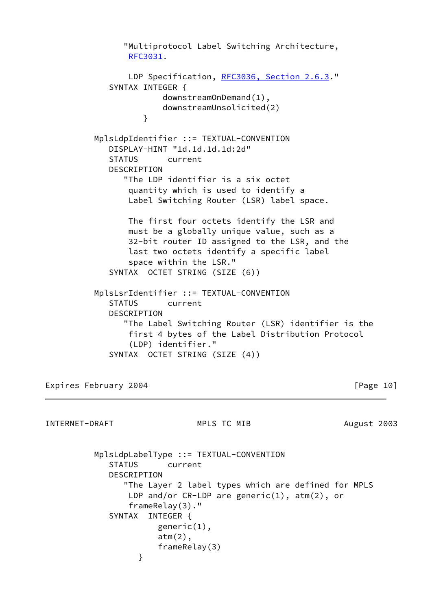"Multiprotocol Label Switching Architecture, [RFC3031](https://datatracker.ietf.org/doc/pdf/rfc3031). LDP Specification, [RFC3036, Section](https://datatracker.ietf.org/doc/pdf/rfc3036#section-2.6.3) 2.6.3." SYNTAX INTEGER { downstreamOnDemand(1), downstreamUnsolicited(2) } MplsLdpIdentifier ::= TEXTUAL-CONVENTION DISPLAY-HINT "1d.1d.1d.1d:2d" STATUS current DESCRIPTION "The LDP identifier is a six octet quantity which is used to identify a Label Switching Router (LSR) label space. The first four octets identify the LSR and must be a globally unique value, such as a 32-bit router ID assigned to the LSR, and the last two octets identify a specific label space within the LSR." SYNTAX OCTET STRING (SIZE (6)) MplsLsrIdentifier ::= TEXTUAL-CONVENTION STATUS current DESCRIPTION "The Label Switching Router (LSR) identifier is the first 4 bytes of the Label Distribution Protocol (LDP) identifier." SYNTAX OCTET STRING (SIZE (4))

Expires February 2004 **by Expires** February 2004

INTERNET-DRAFT MPLS TC MIB August 2003

 MplsLdpLabelType ::= TEXTUAL-CONVENTION STATUS current DESCRIPTION "The Layer 2 label types which are defined for MPLS LDP and/or CR-LDP are generic(1), atm(2), or frameRelay(3)." SYNTAX INTEGER { generic(1), atm(2), frameRelay(3) }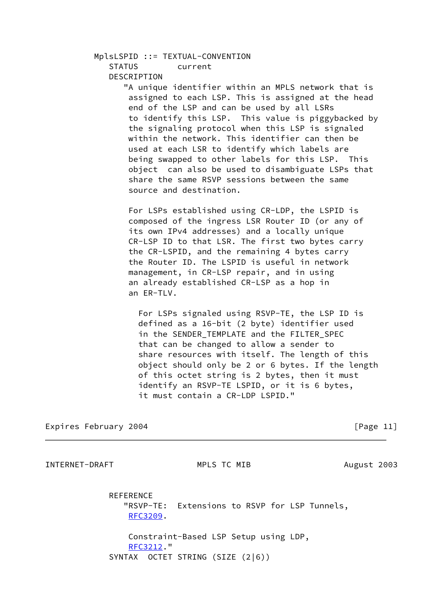#### MplsLSPID ::= TEXTUAL-CONVENTION

STATUS current

#### DESCRIPTION

 "A unique identifier within an MPLS network that is assigned to each LSP. This is assigned at the head end of the LSP and can be used by all LSRs to identify this LSP. This value is piggybacked by the signaling protocol when this LSP is signaled within the network. This identifier can then be used at each LSR to identify which labels are being swapped to other labels for this LSP. This object can also be used to disambiguate LSPs that share the same RSVP sessions between the same source and destination.

 For LSPs established using CR-LDP, the LSPID is composed of the ingress LSR Router ID (or any of its own IPv4 addresses) and a locally unique CR-LSP ID to that LSR. The first two bytes carry the CR-LSPID, and the remaining 4 bytes carry the Router ID. The LSPID is useful in network management, in CR-LSP repair, and in using an already established CR-LSP as a hop in an ER-TLV.

 For LSPs signaled using RSVP-TE, the LSP ID is defined as a 16-bit (2 byte) identifier used in the SENDER\_TEMPLATE and the FILTER\_SPEC that can be changed to allow a sender to share resources with itself. The length of this object should only be 2 or 6 bytes. If the length of this octet string is 2 bytes, then it must identify an RSVP-TE LSPID, or it is 6 bytes, it must contain a CR-LDP LSPID."

Expires February 2004 **Expires** February 2004

INTERNET-DRAFT MPLS TC MIB August 2003

 REFERENCE "RSVP-TE: Extensions to RSVP for LSP Tunnels, [RFC3209](https://datatracker.ietf.org/doc/pdf/rfc3209).

 Constraint-Based LSP Setup using LDP, [RFC3212](https://datatracker.ietf.org/doc/pdf/rfc3212)." SYNTAX OCTET STRING (SIZE (2|6))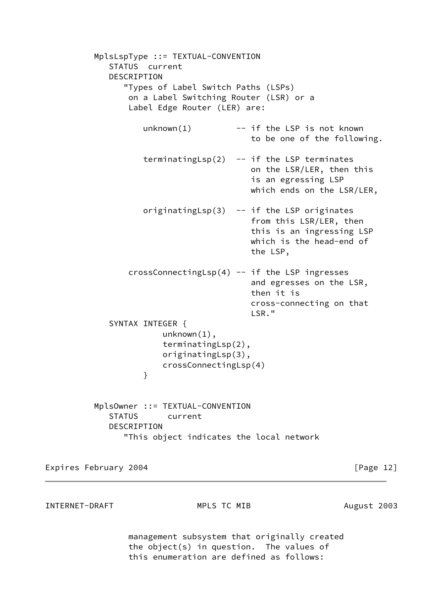```
 MplsLspType ::= TEXTUAL-CONVENTION
            STATUS current
            DESCRIPTION
               "Types of Label Switch Paths (LSPs)
                on a Label Switching Router (LSR) or a
                Label Edge Router (LER) are:
                  unknown(1) -- if the LSP is not known
                                        to be one of the following.
                  terminatingLsp(2) -- if the LSP terminates
                                        on the LSR/LER, then this
                                        is an egressing LSP
                                        which ends on the LSR/LER,
                   originatingLsp(3) -- if the LSP originates
                                        from this LSR/LER, then
                                        this is an ingressing LSP
                                        which is the head-end of
                                        the LSP,
               crossConnectingLsp(4) -- if the LSP ingresses
                                        and egresses on the LSR,
                                        then it is
                                        cross-connecting on that
LSR."
            SYNTAX INTEGER {
                      unknown(1),
                      terminatingLsp(2),
                      originatingLsp(3),
                      crossConnectingLsp(4)
}
         MplsOwner ::= TEXTUAL-CONVENTION
            STATUS current
            DESCRIPTION
               "This object indicates the local network
```
INTERNET-DRAFT MPLS TC MIB August 2003

 management subsystem that originally created the object(s) in question. The values of this enumeration are defined as follows: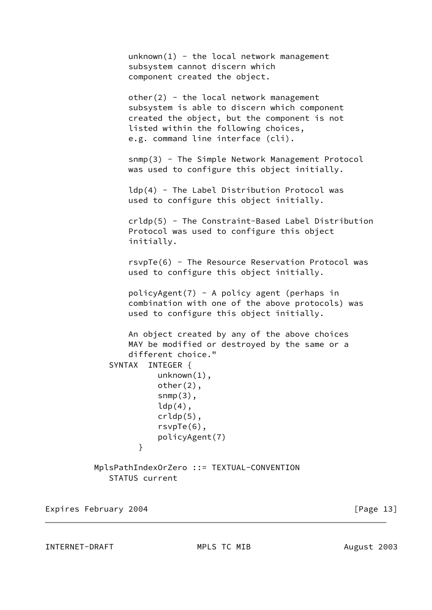```
unknown(1) - the local network management
                 subsystem cannot discern which
                 component created the object.
                other(2) - the local network management
                 subsystem is able to discern which component
                 created the object, but the component is not
                 listed within the following choices,
                 e.g. command line interface (cli).
                 snmp(3) - The Simple Network Management Protocol
                 was used to configure this object initially.
                 ldp(4) - The Label Distribution Protocol was
                 used to configure this object initially.
                 crldp(5) - The Constraint-Based Label Distribution
                 Protocol was used to configure this object
                 initially.
                 rsvpTe(6) - The Resource Reservation Protocol was
                 used to configure this object initially.
                 policyAgent(7) - A policy agent (perhaps in
                 combination with one of the above protocols) was
                 used to configure this object initially.
                 An object created by any of the above choices
                 MAY be modified or destroyed by the same or a
                 different choice."
             SYNTAX INTEGER {
                       unknown(1),
                       other(2),
                      snmp(3),
                      ldp(4),
                       crldp(5),
                       rsvpTe(6),
                       policyAgent(7)
}
          MplsPathIndexOrZero ::= TEXTUAL-CONVENTION
             STATUS current
```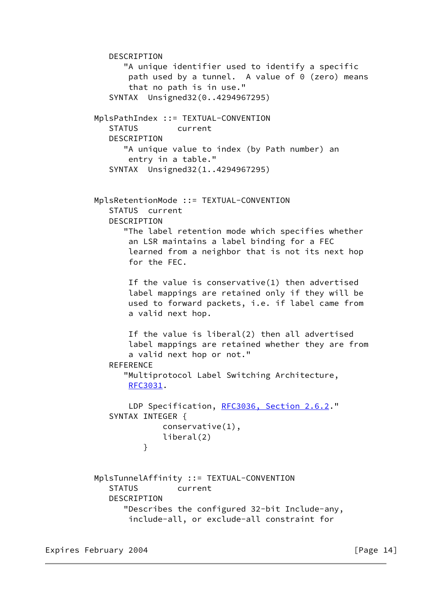```
 DESCRIPTION
               "A unique identifier used to identify a specific
               path used by a tunnel. A value of 0 (zero) means
                that no path is in use."
            SYNTAX Unsigned32(0..4294967295)
         MplsPathIndex ::= TEXTUAL-CONVENTION
            STATUS current
           DESCRIPTION
               "A unique value to index (by Path number) an
                entry in a table."
            SYNTAX Unsigned32(1..4294967295)
         MplsRetentionMode ::= TEXTUAL-CONVENTION
            STATUS current
            DESCRIPTION
               "The label retention mode which specifies whether
                an LSR maintains a label binding for a FEC
                learned from a neighbor that is not its next hop
                for the FEC.
                If the value is conservative(1) then advertised
                label mappings are retained only if they will be
                used to forward packets, i.e. if label came from
                a valid next hop.
                If the value is liberal(2) then all advertised
                label mappings are retained whether they are from
                a valid next hop or not."
            REFERENCE
               "Multiprotocol Label Switching Architecture,
                RFC3031.
                RFC3036, Section 2.6.2."
            SYNTAX INTEGER {
                       conservative(1),
                       liberal(2)
}
         MplsTunnelAffinity ::= TEXTUAL-CONVENTION
            STATUS current
           DESCRIPTION
               "Describes the configured 32-bit Include-any,
                include-all, or exclude-all constraint for
```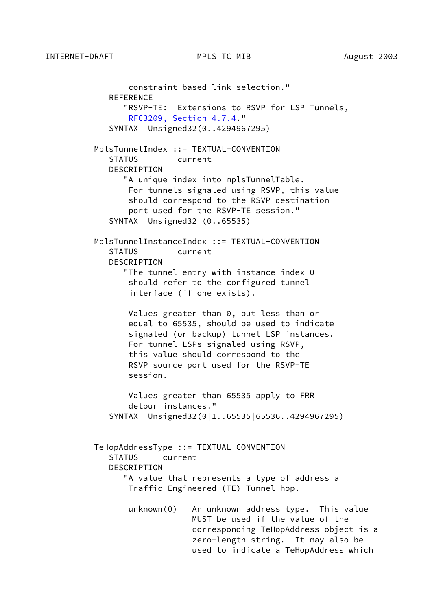constraint-based link selection." REFERENCE "RSVP-TE: Extensions to RSVP for LSP Tunnels, [RFC3209, Section](https://datatracker.ietf.org/doc/pdf/rfc3209#section-4.7.4) 4.7.4." SYNTAX Unsigned32(0..4294967295) MplsTunnelIndex ::= TEXTUAL-CONVENTION STATUS current DESCRIPTION "A unique index into mplsTunnelTable. For tunnels signaled using RSVP, this value should correspond to the RSVP destination port used for the RSVP-TE session." SYNTAX Unsigned32 (0..65535) MplsTunnelInstanceIndex ::= TEXTUAL-CONVENTION STATUS current DESCRIPTION "The tunnel entry with instance index 0 should refer to the configured tunnel interface (if one exists). Values greater than 0, but less than or equal to 65535, should be used to indicate signaled (or backup) tunnel LSP instances. For tunnel LSPs signaled using RSVP, this value should correspond to the RSVP source port used for the RSVP-TE session. Values greater than 65535 apply to FRR detour instances." SYNTAX Unsigned32(0|1..65535|65536..4294967295) TeHopAddressType ::= TEXTUAL-CONVENTION STATUS current DESCRIPTION "A value that represents a type of address a Traffic Engineered (TE) Tunnel hop. unknown(0) An unknown address type. This value MUST be used if the value of the corresponding TeHopAddress object is a zero-length string. It may also be used to indicate a TeHopAddress which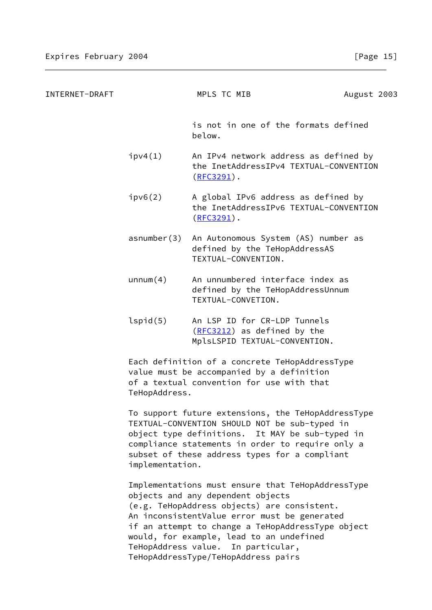| INTERNET-DRAFT |                                                                                                                                                           | MPLS TC MIB                                                                                         | August 2003 |
|----------------|-----------------------------------------------------------------------------------------------------------------------------------------------------------|-----------------------------------------------------------------------------------------------------|-------------|
|                |                                                                                                                                                           | is not in one of the formats defined<br>below.                                                      |             |
|                | ipv4(1)                                                                                                                                                   | An IPv4 network address as defined by<br>the InetAddressIPv4 TEXTUAL-CONVENTION<br>$(RFC3291)$ .    |             |
|                | ipv6(2)                                                                                                                                                   | A global IPv6 address as defined by<br>the InetAddressIPv6 TEXTUAL-CONVENTION<br>$(RFC3291)$ .      |             |
|                | asnumber(3)                                                                                                                                               | An Autonomous System (AS) number as<br>defined by the TeHopAddressAS<br>TEXTUAL-CONVENTION.         |             |
|                | unnum(4)                                                                                                                                                  | An unnumbered interface index as<br>defined by the TeHopAddressUnnum<br>TEXTUAL-CONVETION.          |             |
|                | lspid(5)                                                                                                                                                  | An LSP ID for CR-LDP Tunnels<br>(RFC3212) as defined by the<br>MplsLSPID TEXTUAL-CONVENTION.        |             |
|                | Each definition of a concrete TeHopAddressType<br>value must be accompanied by a definition<br>of a textual convention for use with that<br>TeHopAddress. |                                                                                                     |             |
|                |                                                                                                                                                           | To support future extensions, the TeHopAddressType<br>TEVTUAL-CONVENTION SHOULD NOT bo sub-typed in |             |

 TEXTUAL-CONVENTION SHOULD NOT be sub-typed in object type definitions. It MAY be sub-typed in compliance statements in order to require only a subset of these address types for a compliant implementation.

 Implementations must ensure that TeHopAddressType objects and any dependent objects (e.g. TeHopAddress objects) are consistent. An inconsistentValue error must be generated if an attempt to change a TeHopAddressType object would, for example, lead to an undefined TeHopAddress value. In particular, TeHopAddressType/TeHopAddress pairs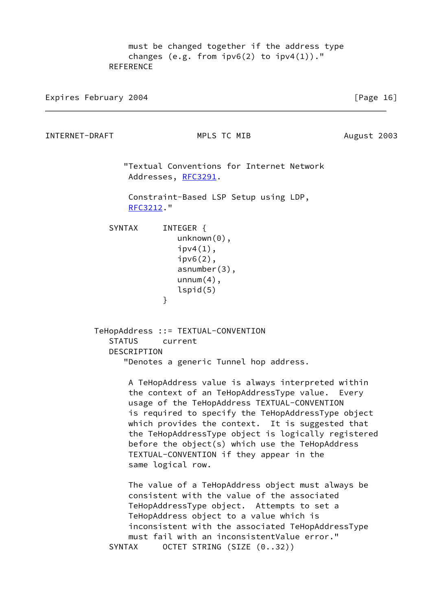must be changed together if the address type changes (e.g. from  $ipv6(2)$  to  $ipv4(1)$ )." **REFERENCE** 

Expires February 2004 **Expires** February 2004

INTERNET-DRAFT MPLS TC MIB August 2003

 "Textual Conventions for Internet Network Addresses, [RFC3291](https://datatracker.ietf.org/doc/pdf/rfc3291).

 Constraint-Based LSP Setup using LDP, [RFC3212](https://datatracker.ietf.org/doc/pdf/rfc3212)."

SYNTAX INTEGER { unknown(0),  $ipv4(1)$ , ipv6(2), asnumber(3),  $unnum(4)$ , lspid(5) }

> TeHopAddress ::= TEXTUAL-CONVENTION STATUS current DESCRIPTION "Denotes a generic Tunnel hop address.

> > A TeHopAddress value is always interpreted within the context of an TeHopAddressType value. Every usage of the TeHopAddress TEXTUAL-CONVENTION is required to specify the TeHopAddressType object which provides the context. It is suggested that the TeHopAddressType object is logically registered before the object(s) which use the TeHopAddress TEXTUAL-CONVENTION if they appear in the same logical row.

 The value of a TeHopAddress object must always be consistent with the value of the associated TeHopAddressType object. Attempts to set a TeHopAddress object to a value which is inconsistent with the associated TeHopAddressType must fail with an inconsistentValue error." SYNTAX OCTET STRING (SIZE (0..32))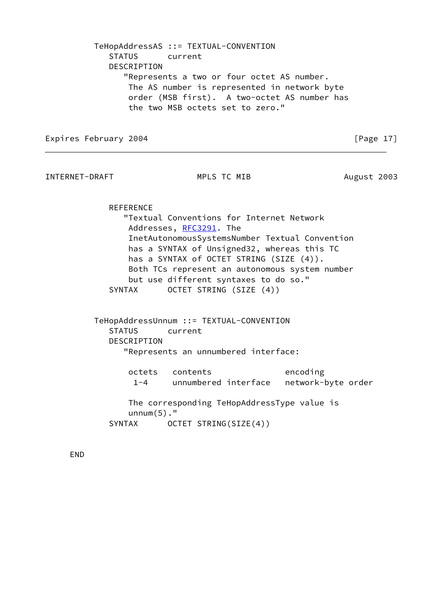TeHopAddressAS ::= TEXTUAL-CONVENTION STATUS current DESCRIPTION "Represents a two or four octet AS number. The AS number is represented in network byte order (MSB first). A two-octet AS number has the two MSB octets set to zero."

Expires February 2004 **Expires** February 2004

INTERNET-DRAFT MPLS TC MIB August 2003

**REFERENCE** 

 "Textual Conventions for Internet Network Addresses, [RFC3291](https://datatracker.ietf.org/doc/pdf/rfc3291)</u>. The InetAutonomousSystemsNumber Textual Convention has a SYNTAX of Unsigned32, whereas this TC has a SYNTAX of OCTET STRING (SIZE (4)). Both TCs represent an autonomous system number but use different syntaxes to do so." SYNTAX OCTET STRING (SIZE (4))

 TeHopAddressUnnum ::= TEXTUAL-CONVENTION STATUS current DESCRIPTION "Represents an unnumbered interface:

| octets contents                             | encoding |
|---------------------------------------------|----------|
| 1-4 unnumbered interface network-byte order |          |

 The corresponding TeHopAddressType value is unnum(5)." SYNTAX OCTET STRING(SIZE(4))

END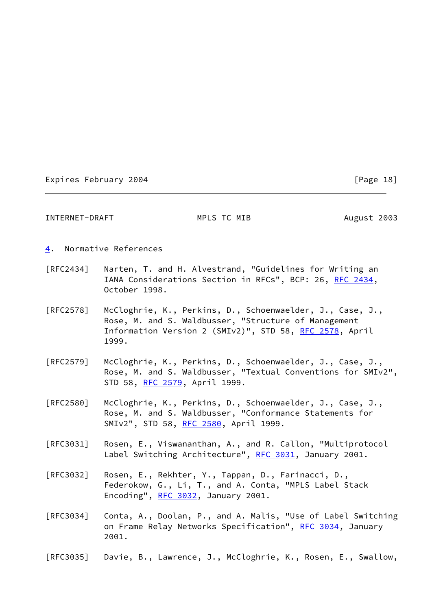## <span id="page-19-1"></span>INTERNET-DRAFT MPLS TC MIB August 2003

- <span id="page-19-0"></span>[4](#page-19-0). Normative References
- [RFC2434] Narten, T. and H. Alvestrand, "Guidelines for Writing an IANA Considerations Section in RFCs", BCP: 26, [RFC 2434](https://datatracker.ietf.org/doc/pdf/rfc2434), October 1998.
- [RFC2578] McCloghrie, K., Perkins, D., Schoenwaelder, J., Case, J., Rose, M. and S. Waldbusser, "Structure of Management Information Version 2 (SMIv2)", STD 58, [RFC 2578](https://datatracker.ietf.org/doc/pdf/rfc2578), April 1999.
- [RFC2579] McCloghrie, K., Perkins, D., Schoenwaelder, J., Case, J., Rose, M. and S. Waldbusser, "Textual Conventions for SMIv2", STD 58, [RFC 2579](https://datatracker.ietf.org/doc/pdf/rfc2579), April 1999.
- [RFC2580] McCloghrie, K., Perkins, D., Schoenwaelder, J., Case, J., Rose, M. and S. Waldbusser, "Conformance Statements for SMIv2", STD 58, [RFC 2580](https://datatracker.ietf.org/doc/pdf/rfc2580), April 1999.
- [RFC3031] Rosen, E., Viswananthan, A., and R. Callon, "Multiprotocol Label Switching Architecture", [RFC 3031](https://datatracker.ietf.org/doc/pdf/rfc3031), January 2001.
- [RFC3032] Rosen, E., Rekhter, Y., Tappan, D., Farinacci, D., Federokow, G., Li, T., and A. Conta, "MPLS Label Stack Encoding", [RFC 3032,](https://datatracker.ietf.org/doc/pdf/rfc3032) January 2001.
- [RFC3034] Conta, A., Doolan, P., and A. Malis, "Use of Label Switching on Frame Relay Networks Specification", [RFC 3034](https://datatracker.ietf.org/doc/pdf/rfc3034), January 2001.
- [RFC3035] Davie, B., Lawrence, J., McCloghrie, K., Rosen, E., Swallow,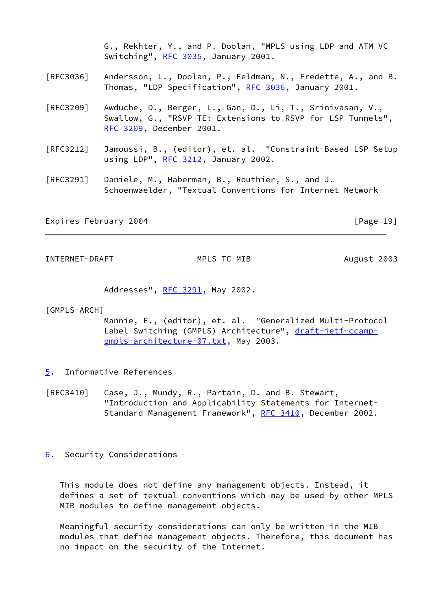G., Rekhter, Y., and P. Doolan, "MPLS using LDP and ATM VC Switching", [RFC 3035](https://datatracker.ietf.org/doc/pdf/rfc3035), January 2001.

- [RFC3036] Andersson, L., Doolan, P., Feldman, N., Fredette, A., and B. Thomas, "LDP Specification", [RFC 3036](https://datatracker.ietf.org/doc/pdf/rfc3036), January 2001.
- [RFC3209] Awduche, D., Berger, L., Gan, D., Li, T., Srinivasan, V., Swallow, G., "RSVP-TE: Extensions to RSVP for LSP Tunnels", [RFC 3209](https://datatracker.ietf.org/doc/pdf/rfc3209), December 2001.
- [RFC3212] Jamoussi, B., (editor), et. al. "Constraint-Based LSP Setup using LDP", [RFC 3212](https://datatracker.ietf.org/doc/pdf/rfc3212), January 2002.
- [RFC3291] Daniele, M., Haberman, B., Routhier, S., and J. Schoenwaelder, "Textual Conventions for Internet Network

Expires February 2004 **by Expires** February 2004

<span id="page-20-1"></span>INTERNET-DRAFT MPLS TC MIB August 2003

Addresses", [RFC 3291](https://datatracker.ietf.org/doc/pdf/rfc3291), May 2002.

#### [GMPLS-ARCH]

 Mannie, E., (editor), et. al. "Generalized Multi-Protocol Label Switching (GMPLS) Architecture", [draft-ietf-ccamp](https://datatracker.ietf.org/doc/pdf/draft-ietf-ccamp-gmpls-architecture-07.txt) [gmpls-architecture-07.txt](https://datatracker.ietf.org/doc/pdf/draft-ietf-ccamp-gmpls-architecture-07.txt), May 2003.

- <span id="page-20-0"></span>[5](#page-20-0). Informative References
- [RFC3410] Case, J., Mundy, R., Partain, D. and B. Stewart, "Introduction and Applicability Statements for Internet- Standard Management Framework", [RFC 3410](https://datatracker.ietf.org/doc/pdf/rfc3410), December 2002.

#### <span id="page-20-2"></span>[6](#page-20-2). Security Considerations

 This module does not define any management objects. Instead, it defines a set of textual conventions which may be used by other MPLS MIB modules to define management objects.

 Meaningful security considerations can only be written in the MIB modules that define management objects. Therefore, this document has no impact on the security of the Internet.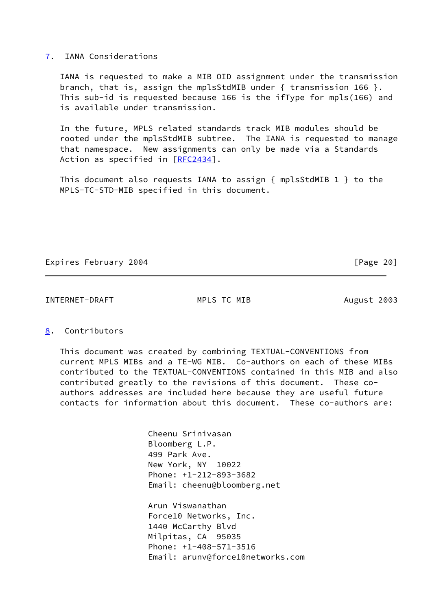#### <span id="page-21-0"></span>[7](#page-21-0). IANA Considerations

 IANA is requested to make a MIB OID assignment under the transmission branch, that is, assign the mplsStdMIB under { transmission 166 }. This sub-id is requested because 166 is the ifType for mpls(166) and is available under transmission.

 In the future, MPLS related standards track MIB modules should be rooted under the mplsStdMIB subtree. The IANA is requested to manage that namespace. New assignments can only be made via a Standards Action as specified in [\[RFC2434](https://datatracker.ietf.org/doc/pdf/rfc2434)].

 This document also requests IANA to assign { mplsStdMIB 1 } to the MPLS-TC-STD-MIB specified in this document.

### Expires February 2004 **Expires** February 2004

#### <span id="page-21-2"></span>INTERNET-DRAFT MPLS TC MIB August 2003

### <span id="page-21-1"></span>[8](#page-21-1). Contributors

 This document was created by combining TEXTUAL-CONVENTIONS from current MPLS MIBs and a TE-WG MIB. Co-authors on each of these MIBs contributed to the TEXTUAL-CONVENTIONS contained in this MIB and also contributed greatly to the revisions of this document. These co authors addresses are included here because they are useful future contacts for information about this document. These co-authors are:

> Cheenu Srinivasan Bloomberg L.P. 499 Park Ave. New York, NY 10022 Phone: +1-212-893-3682 Email: cheenu@bloomberg.net

 Arun Viswanathan Force10 Networks, Inc. 1440 McCarthy Blvd Milpitas, CA 95035 Phone: +1-408-571-3516 Email: arunv@force10networks.com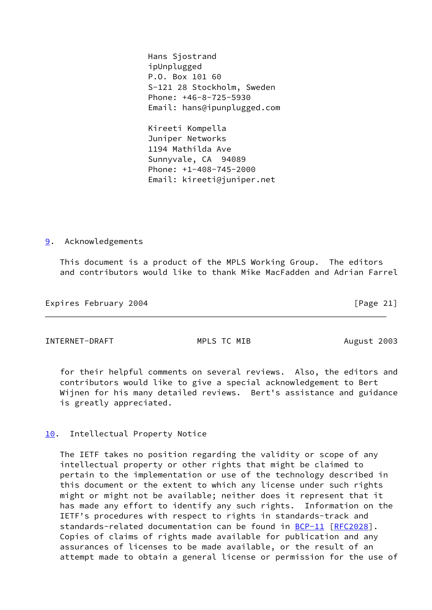Hans Sjostrand ipUnplugged P.O. Box 101 60 S-121 28 Stockholm, Sweden Phone: +46-8-725-5930 Email: hans@ipunplugged.com

 Kireeti Kompella Juniper Networks 1194 Mathilda Ave Sunnyvale, CA 94089 Phone: +1-408-745-2000 Email: kireeti@juniper.net

<span id="page-22-0"></span>[9](#page-22-0). Acknowledgements

 This document is a product of the MPLS Working Group. The editors and contributors would like to thank Mike MacFadden and Adrian Farrel

Expires February 2004 **Expires** February 2004

<span id="page-22-2"></span>INTERNET-DRAFT MPLS TC MIB August 2003

 for their helpful comments on several reviews. Also, the editors and contributors would like to give a special acknowledgement to Bert Wijnen for his many detailed reviews. Bert's assistance and guidance is greatly appreciated.

## <span id="page-22-1"></span>[10.](#page-22-1) Intellectual Property Notice

 The IETF takes no position regarding the validity or scope of any intellectual property or other rights that might be claimed to pertain to the implementation or use of the technology described in this document or the extent to which any license under such rights might or might not be available; neither does it represent that it has made any effort to identify any such rights. Information on the IETF's procedures with respect to rights in standards-track and standards-related documentation can be found in  $BCP-11$   $[RFC2028]$  $[RFC2028]$ . Copies of claims of rights made available for publication and any assurances of licenses to be made available, or the result of an attempt made to obtain a general license or permission for the use of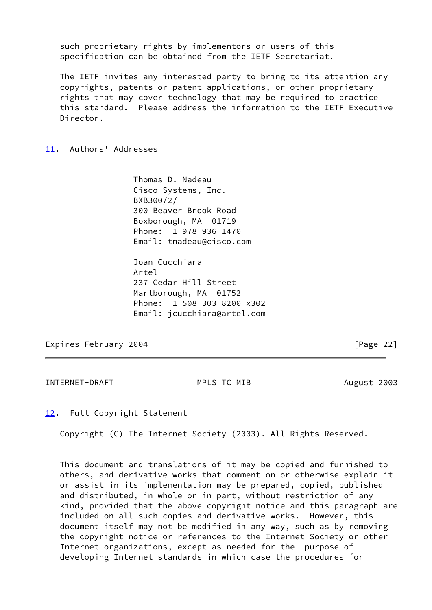such proprietary rights by implementors or users of this specification can be obtained from the IETF Secretariat.

 The IETF invites any interested party to bring to its attention any copyrights, patents or patent applications, or other proprietary rights that may cover technology that may be required to practice this standard. Please address the information to the IETF Executive Director.

<span id="page-23-0"></span>[11.](#page-23-0) Authors' Addresses

 Thomas D. Nadeau Cisco Systems, Inc. BXB300/2/ 300 Beaver Brook Road Boxborough, MA 01719 Phone: +1-978-936-1470 Email: tnadeau@cisco.com

 Joan Cucchiara Artel 237 Cedar Hill Street Marlborough, MA 01752 Phone: +1-508-303-8200 x302 Email: jcucchiara@artel.com

Expires February 2004 **Expires** February 2004

<span id="page-23-2"></span>INTERNET-DRAFT MPLS TC MIB August 2003

<span id="page-23-1"></span>[12.](#page-23-1) Full Copyright Statement

Copyright (C) The Internet Society (2003). All Rights Reserved.

 This document and translations of it may be copied and furnished to others, and derivative works that comment on or otherwise explain it or assist in its implementation may be prepared, copied, published and distributed, in whole or in part, without restriction of any kind, provided that the above copyright notice and this paragraph are included on all such copies and derivative works. However, this document itself may not be modified in any way, such as by removing the copyright notice or references to the Internet Society or other Internet organizations, except as needed for the purpose of developing Internet standards in which case the procedures for